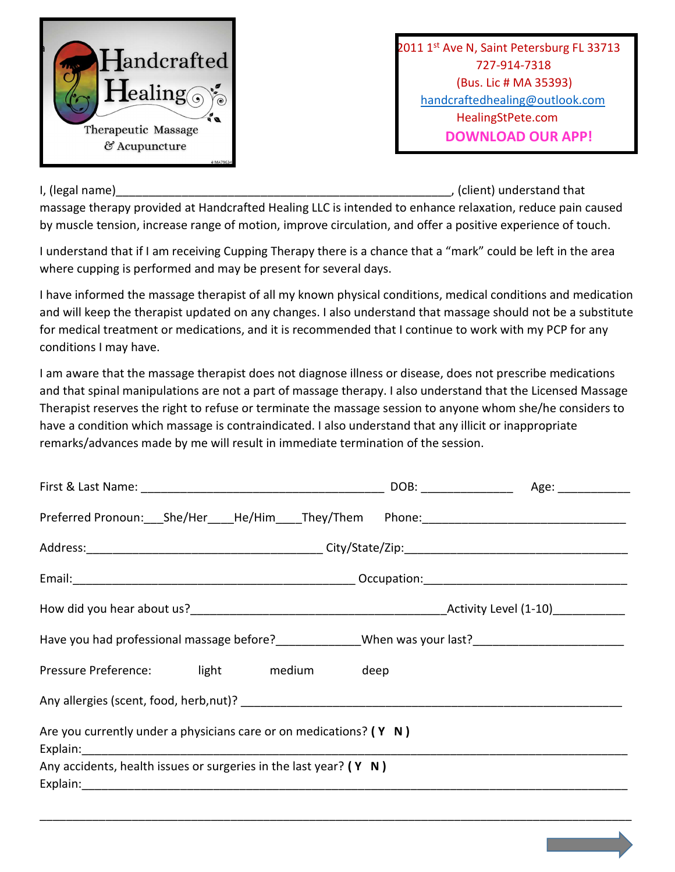

 $\mathbf{I}$ and $\mathbf{c}$ rafted  $\mathbf{I}$  and  $\mathbf{c}$  and  $\mathbf{c}$  and  $\mathbf{c}$  and  $\mathbf{c}$  and  $\mathbf{c}$  and  $\mathbf{c}$  and  $\mathbf{c}$  and  $\mathbf{c}$  and  $\mathbf{c}$  and  $\mathbf{c}$  and  $\mathbf{c}$  and  $\mathbf{c}$  and  $\mathbf{c}$  and  $\mathbf{c}$  and 727-914-7318 (Bus. Lic # MA 35393) handcraftedhealing@outlook.com HealingStPete.com

I, (legal name) and intervals of the set of the set of the set of the set of the set of the set of the set of t

massage therapy provided at Handcrafted Healing LLC is intended to enhance relaxation, reduce pain caused by muscle tension, increase range of motion, improve circulation, and offer a positive experience of touch.

I understand that if I am receiving Cupping Therapy there is a chance that a "mark" could be left in the area where cupping is performed and may be present for several days.

I have informed the massage therapist of all my known physical conditions, medical conditions and medication and will keep the therapist updated on any changes. I also understand that massage should not be a substitute for medical treatment or medications, and it is recommended that I continue to work with my PCP for any conditions I may have.

I am aware that the massage therapist does not diagnose illness or disease, does not prescribe medications and that spinal manipulations are not a part of massage therapy. I also understand that the Licensed Massage Therapist reserves the right to refuse or terminate the massage session to anyone whom she/he considers to have a condition which massage is contraindicated. I also understand that any illicit or inappropriate remarks/advances made by me will result in immediate termination of the session.

| Have you had professional massage before? Moreover 2008 When was your last? |  |
|-----------------------------------------------------------------------------|--|
| Pressure Preference: light medium deep                                      |  |
| Any allergies (scent, food, herb, nut)?                                     |  |
| Are you currently under a physicians care or on medications? $(Y \mid N)$   |  |
|                                                                             |  |
| Any accidents, health issues or surgeries in the last year? $(Y \mid N)$    |  |
|                                                                             |  |

\_\_\_\_\_\_\_\_\_\_\_\_\_\_\_\_\_\_\_\_\_\_\_\_\_\_\_\_\_\_\_\_\_\_\_\_\_\_\_\_\_\_\_\_\_\_\_\_\_\_\_\_\_\_\_\_\_\_\_\_\_\_\_\_\_\_\_\_\_\_\_\_\_\_\_\_\_\_\_\_\_\_\_\_\_\_\_\_\_\_